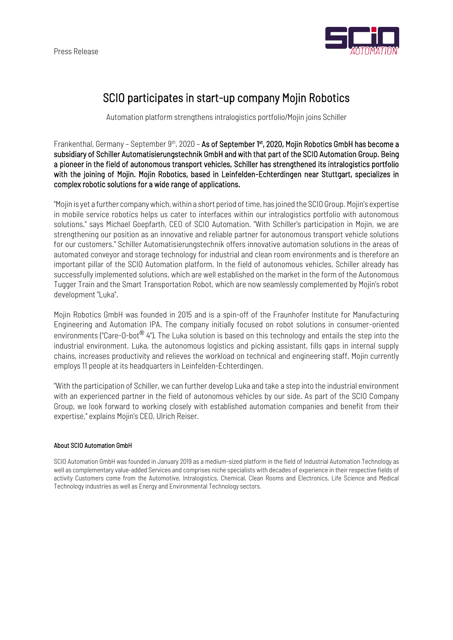Press Release



## SCIO participates in start-up company Mojin Robotics

Automation platform strengthens intralogistics portfolio/Mojin joins Schiller

Frankenthal, Germany - September 9<sup>th</sup>, 2020 - **As of September 1st, 2020, Mojin Robotics GmbH has become a** subsidiary of Schiller Automatisierungstechnik GmbH and with that part of the SCIO Automation Group. Being a pioneer in the field of autonomous transport vehicles, Schiller has strengthened its intralogistics portfolio with the joining of Mojin. Mojin Robotics, based in Leinfelden-Echterdingen near Stuttgart, specializes in complex robotic solutions for a wide range of applications.

"Mojin is yet a further company which, within a short period of time, has joined the SCIO Group. Mojin's expertise in mobile service robotics helps us cater to interfaces within our intralogistics portfolio with autonomous solutions," says Michael Goepfarth, CEO of SCIO Automation. "With Schiller's participation in Mojin, we are strengthening our position as an innovative and reliable partner for autonomous transport vehicle solutions for our customers." Schiller Automatisierungstechnik offers innovative automation solutions in the areas of automated conveyor and storage technology for industrial and clean room environments and is therefore an important pillar of the SCIO Automation platform. In the field of autonomous vehicles, Schiller already has successfully implemented solutions, which are well established on the market in the form of the Autonomous Tugger Train and the Smart Transportation Robot, which are now seamlessly complemented by Mojin's robot development "Luka".

Mojin Robotics GmbH was founded in 2015 and is a spin-off of the Fraunhofer Institute for Manufacturing Engineering and Automation IPA. The company initially focused on robot solutions in consumer-oriented environments ("Care-O-bot<sup>®</sup> 4"). The Luka solution is based on this technology and entails the step into the industrial environment. Luka, the autonomous logistics and picking assistant, fills gaps in internal supply chains, increases productivity and relieves the workload on technical and engineering staff. Mojin currently employs 11 people at its headquarters in Leinfelden-Echterdingen.

"With the participation of Schiller, we can further develop Luka and take a step into the industrial environment with an experienced partner in the field of autonomous vehicles by our side. As part of the SCIO Company Group, we look forward to working closely with established automation companies and benefit from their expertise," explains Mojin's CEO, Ulrich Reiser.

## About SCIO Automation GmbH

SCIO Automation GmbH was founded in January 2019 as a medium-sized platform in the field of Industrial Automation Technology as well as complementary value-added Services and comprises niche specialists with decades of experience in their respective fields of activity Customers come from the Automotive, Intralogistics, Chemical, Clean Rooms and Electronics, Life Science and Medical Technology industries as well as Energy and Environmental Technology sectors.